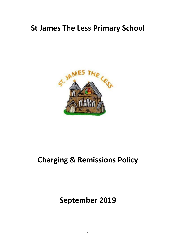## **St James The Less Primary School**



# **Charging & Remissions Policy**

**September 2019**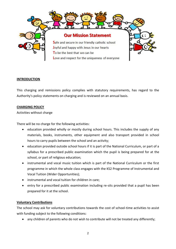

#### **INTRODUCTION**

This charging and remissions policy complies with statutory requirements, has regard to the Authority's policy statements on charging and is reviewed on an annual basis.

#### **CHARGING POLICY**

Activities without charge

There will be no charge for the following activities:

- education provided wholly or mostly during school hours. This includes the supply of any materials, books, instruments, other equipment and also transport provided in school hours to carry pupils between the school and an activity;
- education provided outside school hours if it is part of the National Curriculum, or part of a syllabus for a prescribed public examination which the pupil is being prepared for at the school, or part of religious education;
- instrumental and vocal music tuition which is part of the National Curriculum or the first programme in which the whole class engages with the KS2 Programme of Instrumental and Vocal Tuition (Wider Opportunities);
- instrumental and vocal tuition for children in care:
- entry for a prescribed public examination including re-sits provided that a pupil has been prepared for it at the school.

#### **Voluntary Contributions**

The school may ask for voluntary contributions towards the cost of school-time activities to assist with funding subject to the following conditions:

any children of parents who do not wish to contribute will not be treated any differently;